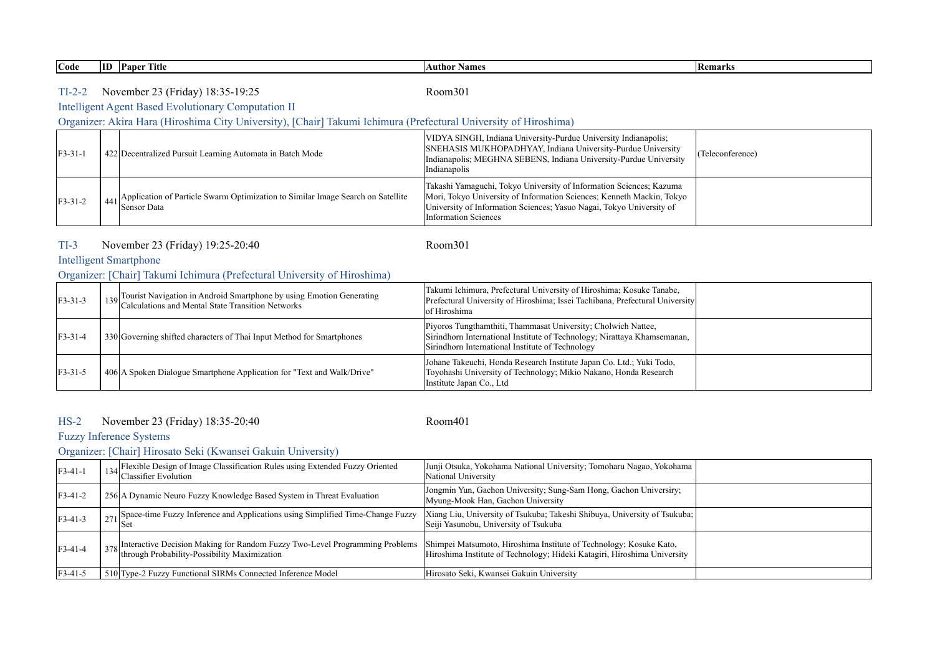**Code ID Paper Title Author Names Remarks**

# TI-2-2 Room301 November 23 (Friday) 18:35-19:25

# Intelligent Agent Based Evolutionary Computation II

# Organizer: Akira Hara (Hiroshima City University), [Chair] Takumi Ichimura (Prefectural University of Hiroshima)

| $F3-31-1$ | 422 Decentralized Pursuit Learning Automata in Batch Mode                                               | VIDYA SINGH, Indiana University-Purdue University Indianapolis;<br>SNEHASIS MUKHOPADHYAY, Indiana University-Purdue University<br>Indianapolis; MEGHNA SEBENS, Indiana University-Purdue University<br>Indianapolis                                 | (Teleconference) |
|-----------|---------------------------------------------------------------------------------------------------------|-----------------------------------------------------------------------------------------------------------------------------------------------------------------------------------------------------------------------------------------------------|------------------|
| $F3-31-2$ | $_{441}$ Application of Particle Swarm Optimization to Similar Image Search on Satellite<br>Sensor Data | Takashi Yamaguchi, Tokyo University of Information Sciences; Kazuma<br>Mori, Tokyo University of Information Sciences; Kenneth Mackin, Tokyo<br>University of Information Sciences, Yasuo Nagai, Tokyo University of<br><b>Information Sciences</b> |                  |

#### TI-3 Room301 November 23 (Friday) 19:25-20:40

## Intelligent Smartphone

## Organizer: [Chair] Takumi Ichimura (Prefectural University of Hiroshima)

| $F3-31-3$  | 139 Tourist Navigation in Android Smartphone by using Emotion Generating<br>Calculations and Mental State Transition Networks | Takumi Ichimura, Prefectural University of Hiroshima; Kosuke Tanabe,<br>Prefectural University of Hiroshima; Issei Tachibana, Prefectural University<br>of Hiroshima                          |  |
|------------|-------------------------------------------------------------------------------------------------------------------------------|-----------------------------------------------------------------------------------------------------------------------------------------------------------------------------------------------|--|
| $IF3-31-4$ | 330 Governing shifted characters of Thai Input Method for Smartphones                                                         | Piyoros Tungthamthiti, Thammasat University; Cholwich Nattee,<br>Sirindhorn International Institute of Technology; Nirattaya Khamsemanan,<br>Sirindhorn International Institute of Technology |  |
| $IF3-31-5$ | 406 A Spoken Dialogue Smartphone Application for "Text and Walk/Drive"                                                        | Johane Takeuchi, Honda Research Institute Japan Co. Ltd.; Yuki Todo,<br>Toyohashi University of Technology; Mikio Nakano, Honda Research<br>Institute Japan Co., Ltd                          |  |

## HS-2 Room401 November 23 (Friday) 18:35-20:40

## Fuzzy Inference Systems

## Organizer: [Chair] Hirosato Seki (Kwansei Gakuin University)

| $F3-41-1$ | Flexible Design of Image Classification Rules using Extended Fuzzy Oriented<br>Classifier Evolution                                          | Junji Otsuka, Yokohama National University; Tomoharu Nagao, Yokohama<br>National University                                                    |  |
|-----------|----------------------------------------------------------------------------------------------------------------------------------------------|------------------------------------------------------------------------------------------------------------------------------------------------|--|
| $F3-41-2$ | 256 A Dynamic Neuro Fuzzy Knowledge Based System in Threat Evaluation                                                                        | Jongmin Yun, Gachon University; Sung-Sam Hong, Gachon University;<br>Myung-Mook Han, Gachon University                                         |  |
| $F3-41-3$ | , Space-time Fuzzy Inference and Applications using Simplified Time-Change Fuzzy                                                             | Xiang Liu, University of Tsukuba; Takeshi Shibuya, University of Tsukuba;<br>Seiji Yasunobu, University of Tsukuba                             |  |
| $F3-41-4$ | <sup>1</sup> 378 Interactive Decision Making for Random Fuzzy Two-Level Programming Problems<br>through Probability-Possibility Maximization | Shimpei Matsumoto, Hiroshima Institute of Technology; Kosuke Kato,<br>Hiroshima Institute of Technology; Hideki Katagiri, Hiroshima University |  |
| F3-41-5   | 510 Type-2 Fuzzy Functional SIRMs Connected Inference Model                                                                                  | Hirosato Seki, Kwansei Gakuin University                                                                                                       |  |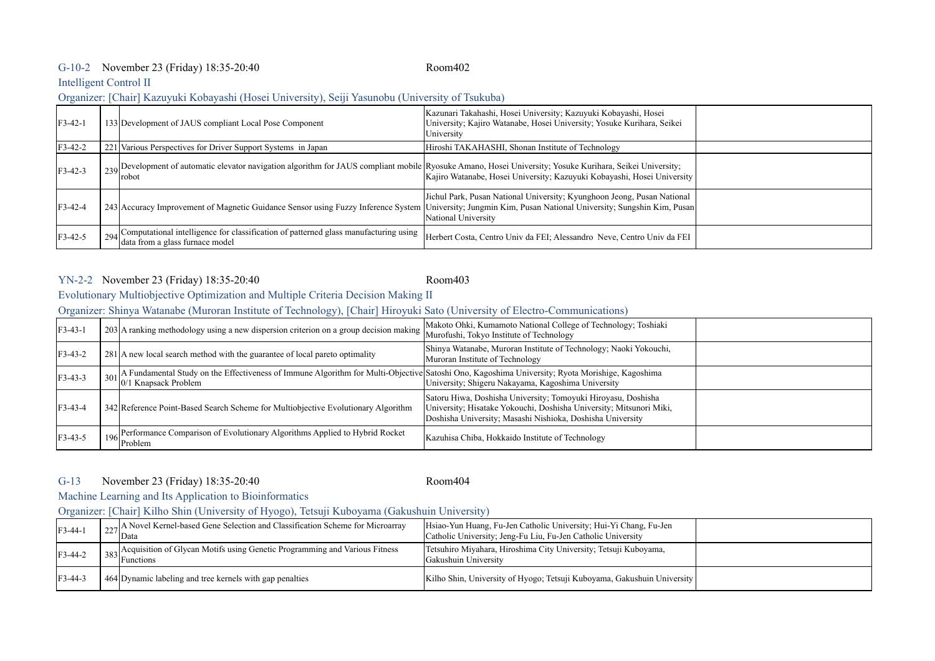## G-10-2 Room402 November 23 (Friday) 18:35-20:40

#### Intelligent Control II

#### Organizer: [Chair] Kazuyuki Kobayashi (Hosei University), Seiji Yasunobu (University of Tsukuba)

| $F3-42-1$ | 133 Development of JAUS compliant Local Pose Component                                                                                                                                              | Kazunari Takahashi, Hosei University; Kazuyuki Kobayashi, Hosei<br>University; Kajiro Watanabe, Hosei University; Yosuke Kurihara, Seikei<br>University |  |
|-----------|-----------------------------------------------------------------------------------------------------------------------------------------------------------------------------------------------------|---------------------------------------------------------------------------------------------------------------------------------------------------------|--|
| $F3-42-2$ | 221 Various Perspectives for Driver Support Systems in Japan                                                                                                                                        | Hiroshi TAKAHASHI, Shonan Institute of Technology                                                                                                       |  |
| $F3-42-3$ | 239 Development of automatic elevator navigation algorithm for JAUS compliant mobile Ryosuke Amano, Hosei University; Yosuke Kurihara, Seikei University;<br>robot                                  | Kajiro Watanabe, Hosei University; Kazuyuki Kobayashi, Hosei University                                                                                 |  |
| $F3-42-4$ | 243 Accuracy Improvement of Magnetic Guidance Sensor using Fuzzy Inference System University; Jungmin Kim, Pusan National University; Sungshin Kim, Pusan                                           | Jichul Park, Pusan National University; Kyunghoon Jeong, Pusan National<br>National University                                                          |  |
| $F3-42-5$ | 294 Computational intelligence for classification of patterned glass manufacturing using  Herbert Costa, Centro Univ da FEI; Alessandro Neve, Centro Univ da FEI<br>data from a glass furnace model |                                                                                                                                                         |  |

## YN-2-2 Room403 November 23 (Friday) 18:35-20:40

# Evolutionary Multiobjective Optimization and Multiple Criteria Decision Making II

# Organizer: Shinya Watanabe (Muroran Institute of Technology), [Chair] Hiroyuki Sato (University of Electro-Communications)

| $F3-43-1$ | 1 203 A ranking methodology using a new dispersion criterion on a group decision making  Warofushi, Tokyo Institute of Technology                                                                                                         | Makoto Ohki, Kumamoto National College of Technology; Toshiaki                                                                                                                                     |  |
|-----------|-------------------------------------------------------------------------------------------------------------------------------------------------------------------------------------------------------------------------------------------|----------------------------------------------------------------------------------------------------------------------------------------------------------------------------------------------------|--|
| $F3-43-2$ | 281 A new local search method with the guarantee of local pareto optimality                                                                                                                                                               | Shinya Watanabe, Muroran Institute of Technology; Naoki Yokouchi,<br>Muroran Institute of Technology                                                                                               |  |
| $F3-43-3$ | $\frac{1}{2}$ 301 A Fundamental Study on the Effectiveness of Immune Algorithm for Multi-Objective Satoshi Ono, Kagoshima University; Ryota Morishige, Kagoshima and $\frac{1}{2}$ and $\frac{1}{2}$ University Shigeru Nakavama. Kagoshi |                                                                                                                                                                                                    |  |
| $F3-43-4$ | 342 Reference Point-Based Search Scheme for Multiobjective Evolutionary Algorithm                                                                                                                                                         | Satoru Hiwa, Doshisha University; Tomoyuki Hiroyasu, Doshisha<br>University; Hisatake Yokouchi, Doshisha University; Mitsunori Miki,<br>Doshisha University; Masashi Nishioka, Doshisha University |  |
| $F3-43-5$ | 196 Performance Comparison of Evolutionary Algorithms Applied to Hybrid Rocket<br>Problem                                                                                                                                                 | Kazuhisa Chiba, Hokkaido Institute of Technology                                                                                                                                                   |  |

#### G-13 Room404 November 23 (Friday) 18:35-20:40

Machine Learning and Its Application to Bioinformatics

Organizer: [Chair] Kilho Shin (University of Hyogo), Tetsuji Kuboyama (Gakushuin University)

| $F3-44-1$ | 227 A Novel Kernel-based Gene Selection and Classification Scheme for Microarray<br>Data | Hsiao-Yun Huang, Fu-Jen Catholic University; Hui-Yi Chang, Fu-Jen<br>Catholic University; Jeng-Fu Liu, Fu-Jen Catholic University |  |
|-----------|------------------------------------------------------------------------------------------|-----------------------------------------------------------------------------------------------------------------------------------|--|
| $F3-44-2$ | $\int_{383}$ Acquisition of Glycan Motifs using Genetic Programming and Various Fitness  | Tetsuhiro Miyahara, Hiroshima City University; Tetsuji Kuboyama,<br>Gakushuin University                                          |  |
| $F3-44-3$ | 464 Dynamic labeling and tree kernels with gap penalties                                 | Kilho Shin, University of Hyogo; Tetsuji Kuboyama, Gakushuin University                                                           |  |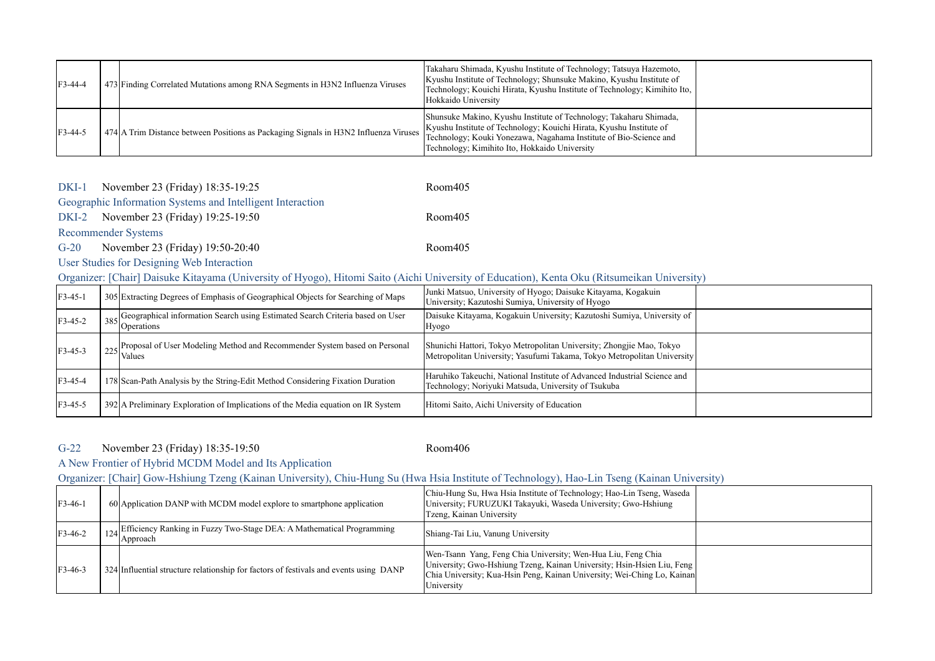| $F3-44-4$ | 473 Finding Correlated Mutations among RNA Segments in H3N2 Influenza Viruses        | Takaharu Shimada, Kyushu Institute of Technology; Tatsuya Hazemoto,<br>Kyushu Institute of Technology; Shunsuke Makino, Kyushu Institute of<br>Technology; Kouichi Hirata, Kyushu Institute of Technology; Kimihito Ito,<br>Hokkaido University                 |  |
|-----------|--------------------------------------------------------------------------------------|-----------------------------------------------------------------------------------------------------------------------------------------------------------------------------------------------------------------------------------------------------------------|--|
| $F3-44-5$ | 474 A Trim Distance between Positions as Packaging Signals in H3N2 Influenza Viruses | Shunsuke Makino, Kyushu Institute of Technology; Takaharu Shimada,<br>Kyushu Institute of Technology; Kouichi Hirata, Kyushu Institute of<br>Technology; Kouki Yonezawa, Nagahama Institute of Bio-Science and<br>Technology; Kimihito Ito, Hokkaido University |  |

## DKI-1 Room405 November 23 (Friday) 18:35-19:25

## Geographic Information Systems and Intelligent Interaction

DKI-2 Room405 November 23 (Friday) 19:25-19:50

## Recommender Systems

G-20 Room405 November 23 (Friday) 19:50-20:40

# User Studies for Designing Web Interaction

## Organizer: [Chair] Daisuke Kitayama (University of Hyogo), Hitomi Saito (Aichi University of Education), Kenta Oku (Ritsumeikan University)

| $F3-45-1$ | 305 Extracting Degrees of Emphasis of Geographical Objects for Searching of Maps                       | Junki Matsuo, University of Hyogo; Daisuke Kitayama, Kogakuin<br>University; Kazutoshi Sumiya, University of Hyogo                              |  |
|-----------|--------------------------------------------------------------------------------------------------------|-------------------------------------------------------------------------------------------------------------------------------------------------|--|
| $F3-45-2$ | 385 Geographical information Search using Estimated Search Criteria based on User<br><b>Operations</b> | Daisuke Kitayama, Kogakuin University; Kazutoshi Sumiya, University of<br>Hyogo                                                                 |  |
| $F3-45-3$ | 225 Proposal of User Modeling Method and Recommender System based on Personal<br>Values                | Shunichi Hattori, Tokyo Metropolitan University; Zhongjie Mao, Tokyo<br>Metropolitan University; Yasufumi Takama, Tokyo Metropolitan University |  |
| F3-45-4   | 178 Scan-Path Analysis by the String-Edit Method Considering Fixation Duration                         | Haruhiko Takeuchi, National Institute of Advanced Industrial Science and<br>Technology; Noriyuki Matsuda, University of Tsukuba                 |  |
| $F3-45-5$ | 392 A Preliminary Exploration of Implications of the Media equation on IR System                       | Hitomi Saito, Aichi University of Education                                                                                                     |  |

#### G-22 Room406 November 23 (Friday) 18:35-19:50

# A New Frontier of Hybrid MCDM Model and Its Application

# Organizer: [Chair] Gow-Hshiung Tzeng (Kainan University), Chiu-Hung Su (Hwa Hsia Institute of Technology), Hao-Lin Tseng (Kainan University)

| $F3-46-1$ | 60 Application DANP with MCDM model explore to smartphone application                 | Chiu-Hung Su, Hwa Hsia Institute of Technology; Hao-Lin Tseng, Waseda<br>University; FURUZUKI Takayuki, Waseda University; Gwo-Hshiung<br>Tzeng, Kainan University                                                              |  |
|-----------|---------------------------------------------------------------------------------------|---------------------------------------------------------------------------------------------------------------------------------------------------------------------------------------------------------------------------------|--|
| $F3-46-2$ | 124 Efficiency Ranking in Fuzzy Two-Stage DEA: A Mathematical Programming<br>Approach | Shiang-Tai Liu, Vanung University                                                                                                                                                                                               |  |
| $F3-46-3$ | 324 Influential structure relationship for factors of festivals and events using DANP | Wen-Tsann Yang, Feng Chia University, Wen-Hua Liu, Feng Chia<br>University; Gwo-Hshiung Tzeng, Kainan University; Hsin-Hsien Liu, Feng<br>Chia University; Kua-Hsin Peng, Kainan University; Wei-Ching Lo, Kainan<br>University |  |